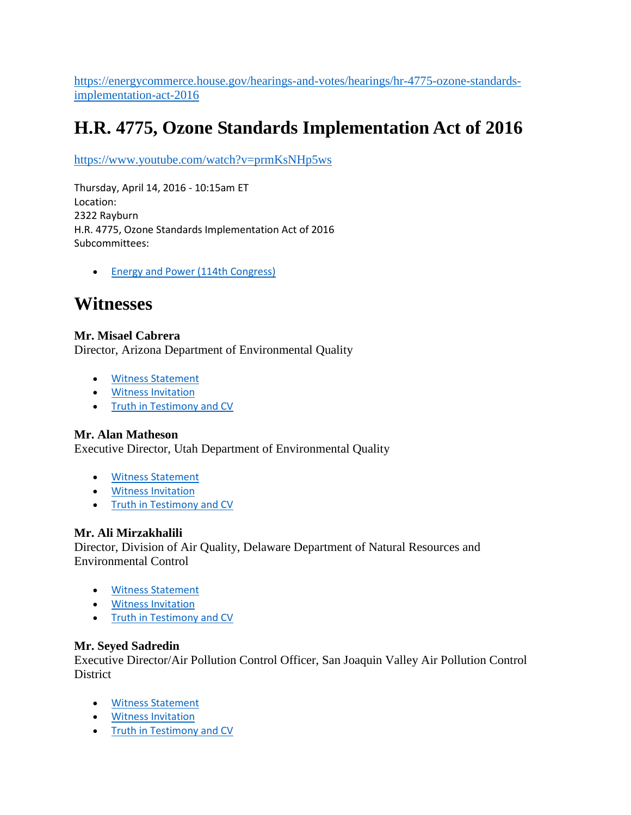[https://energycommerce.house.gov/hearings-and-votes/hearings/hr-4775-ozone-standards](https://energycommerce.house.gov/hearings-and-votes/hearings/hr-4775-ozone-standards-implementation-act-2016)[implementation-act-2016](https://energycommerce.house.gov/hearings-and-votes/hearings/hr-4775-ozone-standards-implementation-act-2016)

# **H.R. 4775, Ozone Standards Implementation Act of 2016**

<https://www.youtube.com/watch?v=prmKsNHp5ws>

Thursday, April 14, 2016 - 10:15am ET Location: 2322 Rayburn H.R. 4775, Ozone Standards Implementation Act of 2016 Subcommittees:

• [Energy and Power \(114th Congress\)](https://energycommerce.house.gov/subcommittees/energy-and-power-114th-congress)

# **Witnesses**

### **Mr. Misael Cabrera**

Director, Arizona Department of Environmental Quality

- [Witness Statement](http://docs.house.gov/meetings/IF/IF03/20160414/104778/HHRG-114-IF03-Wstate-CabreraM-20160414.pdf)
- **•** [Witness Invitation](http://docs.house.gov/meetings/IF/IF03/20160414/104778/HHRG-114-IF03-Wstate-CabreraM-20160414-SD001.pdf)
- [Truth in Testimony and CV](http://docs.house.gov/meetings/IF/IF03/20160414/104778/HHRG-114-IF03-TTF-CabreraM-20160414.pdf)

### **Mr. Alan Matheson**

Executive Director, Utah Department of Environmental Quality

- [Witness Statement](http://docs.house.gov/meetings/IF/IF03/20160414/104778/HHRG-114-IF03-Wstate-MathesonA-20160414.pdf)
- [Witness Invitation](http://docs.house.gov/meetings/IF/IF03/20160414/104778/HHRG-114-IF03-Wstate-MathesonA-20160414-SD003.pdf)
- [Truth in Testimony and CV](http://docs.house.gov/meetings/IF/IF03/20160414/104778/HHRG-114-IF03-TTF-MathesonA-20160414.pdf)

### **Mr. Ali Mirzakhalili**

Director, Division of Air Quality, Delaware Department of Natural Resources and Environmental Control

- [Witness Statement](http://docs.house.gov/meetings/IF/IF03/20160414/104778/HHRG-114-IF03-Wstate-MirzakhaliliA-20160414.pdf)
- **•** [Witness Invitation](http://docs.house.gov/meetings/IF/IF03/20160414/104778/HHRG-114-IF03-Wstate-MirzakhaliliA-20160414-SD005.pdf)
- [Truth in Testimony and CV](http://docs.house.gov/meetings/IF/IF03/20160414/104778/HHRG-114-IF03-TTF-MirzakhaliliA-20160414.pdf)

### **Mr. Seyed Sadredin**

Executive Director/Air Pollution Control Officer, San Joaquin Valley Air Pollution Control District

- [Witness Statement](http://docs.house.gov/meetings/IF/IF03/20160414/104778/HHRG-114-IF03-Wstate-SadredinS-20160414.pdf)
- [Witness Invitation](http://docs.house.gov/meetings/IF/IF03/20160414/104778/HHRG-114-IF03-Wstate-SadredinS-20160414-SD004.pdf)
- [Truth in Testimony and CV](http://docs.house.gov/meetings/IF/IF03/20160414/104778/HHRG-114-IF03-TTF-SadredinS-20160414.pdf)